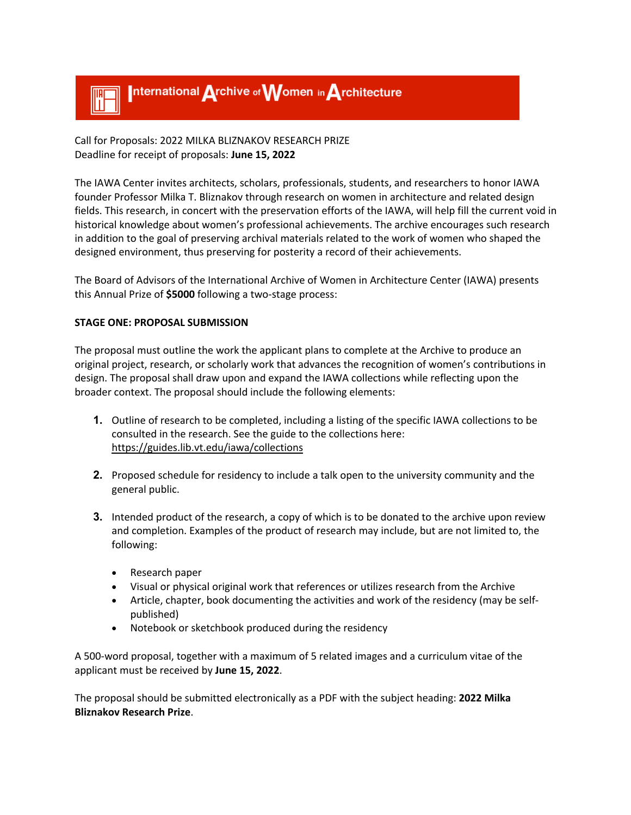

Call for Proposals: 2022 MILKA BLIZNAKOV RESEARCH PRIZE Deadline for receipt of proposals: **June 15, 2022**

The IAWA Center invites architects, scholars, professionals, students, and researchers to honor IAWA founder Professor Milka T. Bliznakov through research on women in architecture and related design fields. This research, in concert with the preservation efforts of the IAWA, will help fill the current void in historical knowledge about women's professional achievements. The archive encourages such research in addition to the goal of preserving archival materials related to the work of women who shaped the designed environment, thus preserving for posterity a record of their achievements.

The Board of Advisors of the International Archive of Women in Architecture Center (IAWA) presents this Annual Prize of **\$5000** following a two-stage process:

## **STAGE ONE: PROPOSAL SUBMISSION**

The proposal must outline the work the applicant plans to complete at the Archive to produce an original project, research, or scholarly work that advances the recognition of women's contributions in design. The proposal shall draw upon and expand the IAWA collections while reflecting upon the broader context. The proposal should include the following elements:

- **1.** Outline of research to be completed, including a listing of the specific IAWA collections to be consulted in the research. See the guide to the collections here: https://guides.lib.vt.edu/iawa/collections
- **2.** Proposed schedule for residency to include a talk open to the university community and the general public.
- **3.** Intended product of the research, a copy of which is to be donated to the archive upon review and completion. Examples of the product of research may include, but are not limited to, the following:
	- Research paper
	- Visual or physical original work that references or utilizes research from the Archive
	- Article, chapter, book documenting the activities and work of the residency (may be selfpublished)
	- Notebook or sketchbook produced during the residency

A 500-word proposal, together with a maximum of 5 related images and a curriculum vitae of the applicant must be received by **June 15, 2022**.

The proposal should be submitted electronically as a PDF with the subject heading: **2022 Milka Bliznakov Research Prize**.